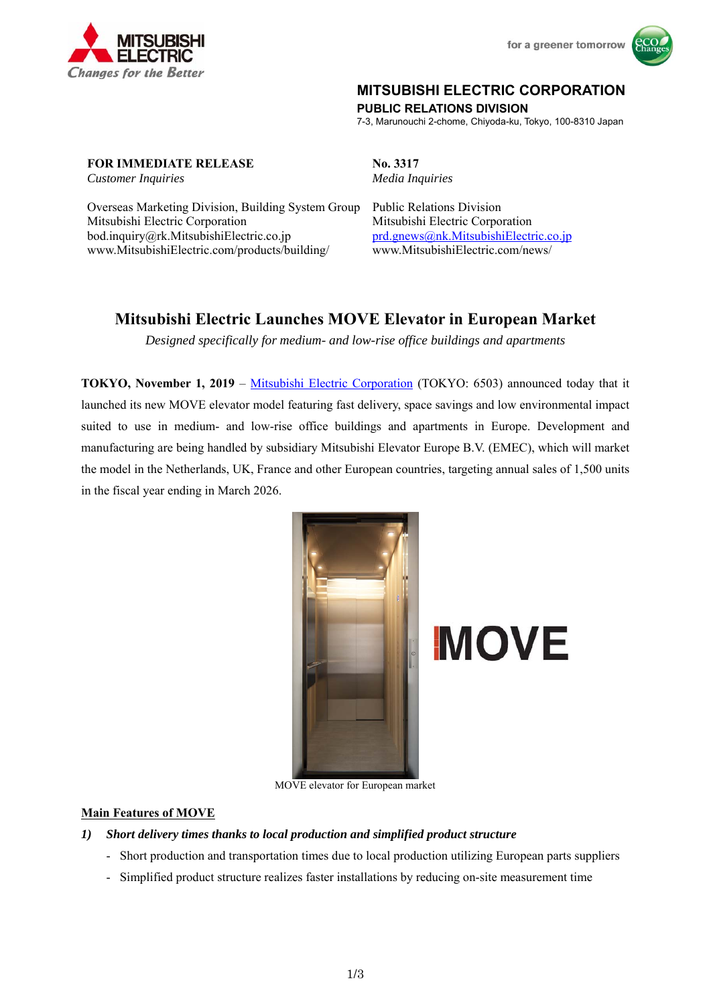



## **MITSUBISHI ELECTRIC CORPORATION**

**PUBLIC RELATIONS DIVISION** 

7-3, Marunouchi 2-chome, Chiyoda-ku, Tokyo, 100-8310 Japan

**FOR IMMEDIATE RELEASE No. 3317** 

Overseas Marketing Division, Building System Group Public Relations Division Mitsubishi Electric Corporation Mitsubishi Electric Corporation bod.inquiry@rk.MitsubishiElectric.co.jp prd.gnews@nk.MitsubishiElectric.co.jp www.MitsubishiElectric.com/products/building/ www.MitsubishiElectric.com/news/

*Customer Inquiries Media Inquiries* 

# **Mitsubishi Electric Launches MOVE Elevator in European Market**

*Designed specifically for medium- and low-rise office buildings and apartments* 

**TOKYO, November 1, 2019** – Mitsubishi Electric Corporation (TOKYO: 6503) announced today that it launched its new MOVE elevator model featuring fast delivery, space savings and low environmental impact suited to use in medium- and low-rise office buildings and apartments in Europe. Development and manufacturing are being handled by subsidiary Mitsubishi Elevator Europe B.V. (EMEC), which will market the model in the Netherlands, UK, France and other European countries, targeting annual sales of 1,500 units in the fiscal year ending in March 2026.



MOVE elevator for European market

#### **Main Features of MOVE**

- *1) Short delivery times thanks to local production and simplified product structure* 
	- Short production and transportation times due to local production utilizing European parts suppliers
	- Simplified product structure realizes faster installations by reducing on-site measurement time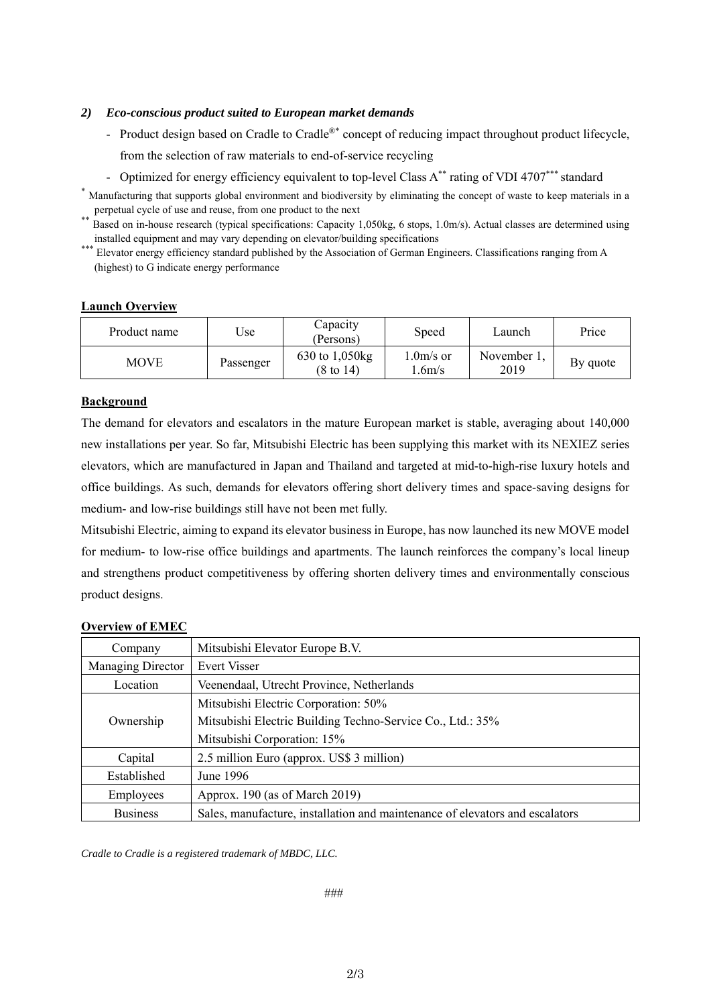#### *2) Eco-conscious product suited to European market demands*

- Product design based on Cradle to Cradle<sup>®\*</sup> concept of reducing impact throughout product lifecycle, from the selection of raw materials to end-of-service recycling
- Optimized for energy efficiency equivalent to top-level Class A<sup>\*\*</sup> rating of VDI 4707<sup>\*\*\*</sup> standard
- \* Manufacturing that supports global environment and biodiversity by eliminating the concept of waste to keep materials in a perpetual cycle of use and reuse, from one product to the next<br>Based on in-house research (typical specifications: Capacity 1,050kg, 6 stops, 1.0m/s). Actual classes are determined using

installed equipment and may vary depending on elevator/building specifications \*\*\* Elevator energy efficiency standard published by the Association of German Engineers. Classifications ranging from A (highest) to G indicate energy performance

#### **Launch Overview**

| Product name | Use       | Capacity<br>(Persons)        | Speed                | Launch              | Price    |
|--------------|-----------|------------------------------|----------------------|---------------------|----------|
| MOVE         | Passenger | 630 to 1,050 kg<br>(8 to 14) | $1.0m/s$ or<br>.6m/s | November 1.<br>2019 | By quote |

### **Background**

The demand for elevators and escalators in the mature European market is stable, averaging about 140,000 new installations per year. So far, Mitsubishi Electric has been supplying this market with its NEXIEZ series elevators, which are manufactured in Japan and Thailand and targeted at mid-to-high-rise luxury hotels and office buildings. As such, demands for elevators offering short delivery times and space-saving designs for medium- and low-rise buildings still have not been met fully.

Mitsubishi Electric, aiming to expand its elevator business in Europe, has now launched its new MOVE model for medium- to low-rise office buildings and apartments. The launch reinforces the company's local lineup and strengthens product competitiveness by offering shorten delivery times and environmentally conscious product designs.

#### **Overview of EMEC**

| Company           | Mitsubishi Elevator Europe B.V.                                              |  |  |
|-------------------|------------------------------------------------------------------------------|--|--|
| Managing Director | Evert Visser                                                                 |  |  |
| Location          | Veenendaal, Utrecht Province, Netherlands                                    |  |  |
|                   | Mitsubishi Electric Corporation: 50%                                         |  |  |
| Ownership         | Mitsubishi Electric Building Techno-Service Co., Ltd.: 35%                   |  |  |
|                   | Mitsubishi Corporation: 15%                                                  |  |  |
| Capital           | 2.5 million Euro (approx. US\$ 3 million)                                    |  |  |
| Established       | June 1996                                                                    |  |  |
| Employees         | Approx. 190 (as of March 2019)                                               |  |  |
| <b>Business</b>   | Sales, manufacture, installation and maintenance of elevators and escalators |  |  |

*Cradle to Cradle is a registered trademark of MBDC, LLC.*